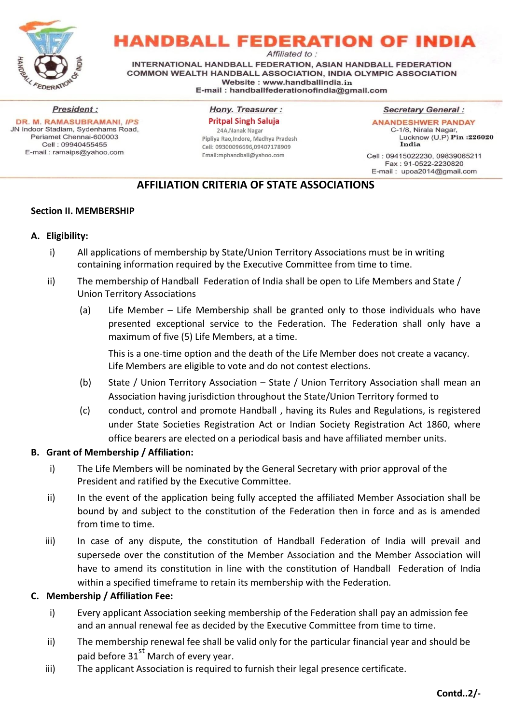

**HANDBALL FEDERATION OF INDIA** 

Affiliated to:

INTERNATIONAL HANDBALL FEDERATION, ASIAN HANDBALL FEDERATION COMMON WEALTH HANDBALL ASSOCIATION. INDIA OLYMPIC ASSOCIATION Website: www.handballindia.in E-mail: handballfederationofindia@gmail.com

**President: DR. M. RAMASUBRAMANI, IPS** JN Indoor Stadiam, Sydenhams Road, Periamet Chennai-600003 Cell: 09940455455 E-mail: ramaips@yahoo.com

**Hony. Treasurer: Pritpal Singh Saluja** 

24A, Nanak Nagar Pipliya Rao, Indore, Madhya Pradesh Cell: 09300096696,09407178909 Email:mphandball@yahoo.com

**Secretary General:** 

**ANANDESHWER PANDAY** C-1/8, Nirala Nagar, Lucknow (U.P) Pin : 226020 India

Cell: 09415022230, 09839065211 Fax: 91-0522-2230820 E-mail: upoa2014@gmail.com

# **AFFILIATION CRITERIA OF STATE ASSOCIATIONS**

## **Section II. MEMBERSHIP**

## **A. Eligibility:**

- i) All applications of membership by State/Union Territory Associations must be in writing containing information required by the Executive Committee from time to time.
- ii) The membership of Handball Federation of India shall be open to Life Members and State / Union Territory Associations
	- (a) Life Member Life Membership shall be granted only to those individuals who have presented exceptional service to the Federation. The Federation shall only have a maximum of five (5) Life Members, at a time.

This is a one-time option and the death of the Life Member does not create a vacancy. Life Members are eligible to vote and do not contest elections.

- (b) State / Union Territory Association State / Union Territory Association shall mean an Association having jurisdiction throughout the State/Union Territory formed to
- (c) conduct, control and promote Handball , having its Rules and Regulations, is registered under State Societies Registration Act or Indian Society Registration Act 1860, where office bearers are elected on a periodical basis and have affiliated member units.

#### **B. Grant of Membership / Affiliation:**

- i) The Life Members will be nominated by the General Secretary with prior approval of the President and ratified by the Executive Committee.
- ii) In the event of the application being fully accepted the affiliated Member Association shall be bound by and subject to the constitution of the Federation then in force and as is amended from time to time.
- iii) In case of any dispute, the constitution of Handball Federation of India will prevail and supersede over the constitution of the Member Association and the Member Association will have to amend its constitution in line with the constitution of Handball Federation of India within a specified timeframe to retain its membership with the Federation.

## **C. Membership / Affiliation Fee:**

- i) Every applicant Association seeking membership of the Federation shall pay an admission fee and an annual renewal fee as decided by the Executive Committee from time to time.
- ii) The membership renewal fee shall be valid only for the particular financial year and should be paid before 31<sup>st</sup> March of every year.
- iii) The applicant Association is required to furnish their legal presence certificate.